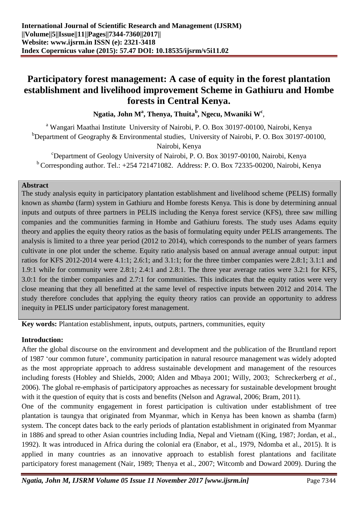# **Participatory forest management: A case of equity in the forest plantation establishment and livelihood improvement Scheme in Gathiuru and Hombe forests in Central Kenya.**

**Ngatia, John M<sup>a</sup> , Thenya, Thuita<sup>b</sup> , Ngecu, Mwaniki W<sup>c</sup>** ,

<sup>a</sup> Wangari Maathai Institute University of Nairobi, P. O. Box 30197-00100, Nairobi, Kenya <sup>b</sup>Department of Geography & Environmental studies, University of Nairobi, P. O. Box 30197-00100, Nairobi, Kenya

<sup>c</sup>Department of Geology University of Nairobi, P. O. Box 30197-00100, Nairobi, Kenya  $b$  Corresponding author. Tel.:  $+254721471082$ . Address: P. O. Box 72335-00200, Nairobi, Kenya

#### **Abstract**

The study analysis equity in participatory plantation establishment and livelihood scheme (PELIS) formally known as *shamba* (farm) system in Gathiuru and Hombe forests Kenya. This is done by determining annual inputs and outputs of three partners in PELIS including the Kenya forest service (KFS), three saw milling companies and the communities farming in Hombe and Gathiuru forests. The study uses Adams equity theory and applies the equity theory ratios as the basis of formulating equity under PELIS arrangements. The analysis is limited to a three year period (2012 to 2014), which corresponds to the number of years farmers cultivate in one plot under the scheme. Equity ratio analysis based on annual average annual output: input ratios for KFS 2012-2014 were 4.1:1; 2.6:1; and 3.1:1; for the three timber companies were 2.8:1; 3.1:1 and 1.9:1 while for community were 2.8:1; 2.4:1 and 2.8:1. The three year average ratios were 3.2:1 for KFS, 3.0:1 for the timber companies and 2.7:1 for communities. This indicates that the equity ratios were very close meaning that they all benefitted at the same level of respective inputs between 2012 and 2014. The study therefore concludes that applying the equity theory ratios can provide an opportunity to address inequity in PELIS under participatory forest management.

**Key words:** Plantation establishment, inputs, outputs, partners, communities, equity

#### **Introduction:**

After the global discourse on the environment and development and the publication of the Bruntland report of 1987 ‗our common future', community participation in natural resource management was widely adopted as the most appropriate approach to address sustainable development and management of the resources including forests (Hobley and Shields, 2000; Alden and Mbaya 2001; Willy, 2003; Schreckerberg *et al.,*  2006). The global re-emphasis of participatory approaches as necessary for sustainable development brought with it the question of equity that is costs and benefits (Nelson and Agrawal, 2006; Bram, 2011).

One of the community engagement in forest participation is cultivation under establishment of tree plantation is taungya that originated from Myanmar, which in Kenya has been known as shamba (farm) system. The concept dates back to the early periods of plantation establishment in originated from Myanmar in 1886 and spread to other Asian countries including India, Nepal and Vietnam ((King, 1987; Jordan, et al., 1992). It was introduced in Africa during the colonial era (Enabor, et al., 1979, Ndomba et al., 2015). It is applied in many countries as an innovative approach to establish forest plantations and facilitate participatory forest management (Nair, 1989; Thenya et al., 2007; Witcomb and Doward 2009). During the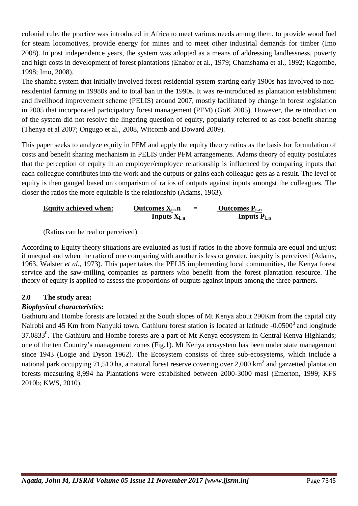colonial rule, the practice was introduced in Africa to meet various needs among them, to provide wood fuel for steam locomotives, provide energy for mines and to meet other industrial demands for timber (Imo 2008). In post independence years, the system was adopted as a means of addressing landlessness, poverty and high costs in development of forest plantations (Enabor et al., 1979; Chamshama et al., 1992; Kagombe, 1998; Imo, 2008).

The shamba system that initially involved forest residential system starting early 1900s has involved to nonresidential farming in 19980s and to total ban in the 1990s. It was re-introduced as plantation establishment and livelihood improvement scheme (PELIS) around 2007, mostly facilitated by change in forest legislation in 2005 that incorporated participatory forest management (PFM) (GoK 2005). However, the reintroduction of the system did not resolve the lingering question of equity, popularly referred to as cost-benefit sharing (Thenya et al 2007; Ongugo et al., 2008, Witcomb and Doward 2009).

This paper seeks to analyze equity in PFM and apply the equity theory ratios as the basis for formulation of costs and benefit sharing mechanism in PELIS under PFM arrangements. Adams theory of equity postulates that the perception of equity in an employer/employee relationship is influenced by comparing inputs that each colleague contributes into the work and the outputs or gains each colleague gets as a result. The level of equity is then gauged based on comparison of ratios of outputs against inputs amongst the colleagues. The closer the ratios the more equitable is the relationship (Adams, 1963).

| <b>Equity achieved when:</b> | Outcomes $X_i$<br>$=$ | <b>Outcomes P</b> <sub>in</sub> |
|------------------------------|-----------------------|---------------------------------|
|                              | Inputs $X_{i,n}$      | Inputs $P_{in}$                 |

(Ratios can be real or perceived)

According to Equity theory situations are evaluated as just if ratios in the above formula are equal and unjust if unequal and when the ratio of one comparing with another is less or greater, inequity is perceived (Adams, 1963, Walster *et al.,* 1973). This paper takes the PELIS implementing local communities, the Kenya forest service and the saw-milling companies as partners who benefit from the forest plantation resource. The theory of equity is applied to assess the proportions of outputs against inputs among the three partners.

## **2.0 The study area:**

## *Biophysical characteristics***:**

Gathiuru and Hombe forests are located at the South slopes of Mt Kenya about 290Km from the capital city Nairobi and 45 Km from Nanyuki town. Gathiuru forest station is located at latitude  $-0.0500^{\circ}$  and longitude  $37.0833^0$ . The Gathiuru and Hombe forests are a part of Mt Kenya ecosystem in Central Kenya Highlands; one of the ten Country's management zones (Fig.1). Mt Kenya ecosystem has been under state management since 1943 (Logie and Dyson 1962). The Ecosystem consists of three sub-ecosystems, which include a national park occupying 71,510 ha, a natural forest reserve covering over 2,000  $\text{km}^2$  and gazzetted plantation forests measuring 8,994 ha Plantations were established between 2000-3000 masl (Emerton, 1999; KFS 2010b; KWS, 2010).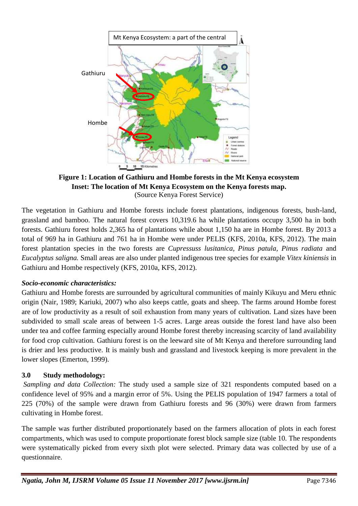

**Figure 1: Location of Gathiuru and Hombe forests in the Mt Kenya ecosystem Inset: The location of Mt Kenya Ecosystem on the Kenya forests map.**  (Source Kenya Forest Service)

The vegetation in Gathiuru and Hombe forests include forest plantations, indigenous forests, bush-land, grassland and bamboo. The natural forest covers 10,319.6 ha while plantations occupy 3,500 ha in both forests. Gathiuru forest holds 2,365 ha of plantations while about 1,150 ha are in Hombe forest. By 2013 a total of 969 ha in Gathiuru and 761 ha in Hombe were under PELIS (KFS, 2010a, KFS, 2012). The main forest plantation species in the two forests are *Cupressuss lusitanica*, *Pinus patula, Pin*us *radiata* and *Eucalyptus saligna.* Small areas are also under planted indigenous tree species for example *Vitex kiniensis* in Gathiuru and Hombe respectively (KFS, 2010a, KFS, 2012).

## *Socio-economic characteristics:*

Gathiuru and Hombe forests are surrounded by agricultural communities of mainly Kikuyu and Meru ethnic origin (Nair, 1989; Kariuki, 2007) who also keeps cattle, goats and sheep. The farms around Hombe forest are of low productivity as a result of soil exhaustion from many years of cultivation. Land sizes have been subdivided to small scale areas of between 1-5 acres. Large areas outside the forest land have also been under tea and coffee farming especially around Hombe forest thereby increasing scarcity of land availability for food crop cultivation. Gathiuru forest is on the leeward site of Mt Kenya and therefore surrounding land is drier and less productive. It is mainly bush and grassland and livestock keeping is more prevalent in the lower slopes (Emerton, 1999).

## **3.0 Study methodology:**

*Sampling and data Collection:* The study used a sample size of 321 respondents computed based on a confidence level of 95% and a margin error of 5%. Using the PELIS population of 1947 farmers a total of 225 (70%) of the sample were drawn from Gathiuru forests and 96 (30%) were drawn from farmers cultivating in Hombe forest.

The sample was further distributed proportionately based on the farmers allocation of plots in each forest compartments, which was used to compute proportionate forest block sample size (table 10. The respondents were systematically picked from every sixth plot were selected. Primary data was collected by use of a questionnaire.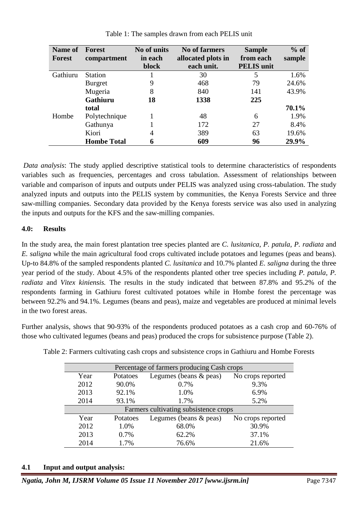| <b>Name of</b> | <b>Forest</b>      | No of units  | <b>No of farmers</b> | <b>Sample</b>     | $%$ of |
|----------------|--------------------|--------------|----------------------|-------------------|--------|
| <b>Forest</b>  | compartment        | in each      | allocated plots in   | from each         | sample |
|                |                    | <b>block</b> | each unit.           | <b>PELIS</b> unit |        |
| Gathiuru       | <b>Station</b>     |              | 30                   | 5                 | 1.6%   |
|                | Burgret            | 9            | 468                  | 79                | 24.6%  |
|                | Mugeria            | 8            | 840                  | 141               | 43.9%  |
|                | Gathiuru           | 18           | 1338                 | 225               |        |
|                | total              |              |                      |                   | 70.1%  |
| Hombe          | Polytechnique      |              | 48                   | 6                 | 1.9%   |
|                | Gathunya           |              | 172                  | 27                | 8.4%   |
|                | Kiori              | 4            | 389                  | 63                | 19.6%  |
|                | <b>Hombe Total</b> | 6            | 609                  | 96                | 29.9%  |

Table 1: The samples drawn from each PELIS unit

*Data analysis*: The study applied descriptive statistical tools to determine characteristics of respondents variables such as frequencies, percentages and cross tabulation. Assessment of relationships between variable and comparison of inputs and outputs under PELIS was analyzed using cross-tabulation. The study analyzed inputs and outputs into the PELIS system by communities, the Kenya Forests Service and three saw-milling companies. Secondary data provided by the Kenya forests service was also used in analyzing the inputs and outputs for the KFS and the saw-milling companies.

### **4.0: Results**

In the study area, the main forest plantation tree species planted are *C. lusitanica*, *P. patula, P. radiata* and *E. saligna* while the main agricultural food crops cultivated include potatoes and legumes (peas and beans). Up-to 84.8% of the sampled respondents planted *C. lusitanica* and 10.7% planted *E. saligna* during the three year period of the study. About 4.5% of the respondents planted other tree species including *P. patula, P. radiata* and *Vitex kiniensis.* The results in the study indicated that between 87.8% and 95.2% of the respondents farming in Gathiuru forest cultivated potatoes while in Hombe forest the percentage was between 92.2% and 94.1%. Legumes (beans and peas), maize and vegetables are produced at minimal levels in the two forest areas.

Further analysis, shows that 90-93% of the respondents produced potatoes as a cash crop and 60-76% of those who cultivated legumes (beans and peas) produced the crops for subsistence purpose (Table 2).

| Percentage of farmers producing Cash crops |          |                          |                   |  |  |  |  |  |  |
|--------------------------------------------|----------|--------------------------|-------------------|--|--|--|--|--|--|
| Year                                       | Potatoes | Legumes (beans $&$ peas) | No crops reported |  |  |  |  |  |  |
| 2012                                       | 90.0%    | 0.7%                     | 9.3%              |  |  |  |  |  |  |
| 2013                                       | 92.1%    | 1.0%                     | 6.9%              |  |  |  |  |  |  |
| 2014                                       | 93.1%    | 1.7%                     | 5.2%              |  |  |  |  |  |  |
| Farmers cultivating subsistence crops      |          |                          |                   |  |  |  |  |  |  |
| Year                                       | Potatoes | Legumes (beans $&$ peas) | No crops reported |  |  |  |  |  |  |
| 2012                                       | 1.0%     | 68.0%                    | 30.9%             |  |  |  |  |  |  |
| 2013                                       | 0.7%     | 62.2%                    | 37.1%             |  |  |  |  |  |  |
| 2014                                       | 1.7%     | 76.6%                    | 21.6%             |  |  |  |  |  |  |

Table 2: Farmers cultivating cash crops and subsistence crops in Gathiuru and Hombe Forests

## **4.1 Input and output analysis:**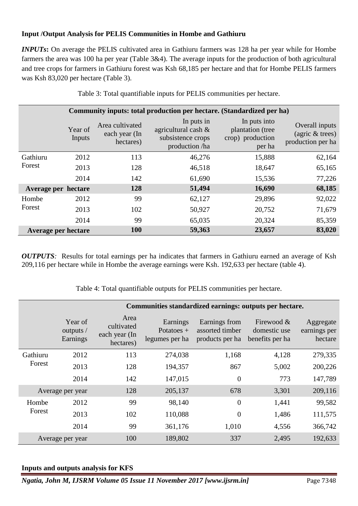### **Input /Output Analysis for PELIS Communities in Hombe and Gathiuru**

*INPUTs*: On average the PELIS cultivated area in Gathiuru farmers was 128 ha per year while for Hombe farmers the area was 100 ha per year (Table 3&4). The average inputs for the production of both agricultural and tree crops for farmers in Gathiuru forest was Ksh 68,185 per hectare and that for Hombe PELIS farmers was Ksh 83,020 per hectare (Table 3).

| Community inputs: total production per hectare. (Standardized per ha) |                            |                                               |                                                                             |                                                                |                                                        |  |  |  |  |
|-----------------------------------------------------------------------|----------------------------|-----------------------------------------------|-----------------------------------------------------------------------------|----------------------------------------------------------------|--------------------------------------------------------|--|--|--|--|
|                                                                       | Year of<br>Inputs          | Area cultivated<br>each year (In<br>hectares) | In puts in<br>agricultural cash $\&$<br>subsistence crops<br>production /ha | In puts into<br>plantation (tree<br>crop) production<br>per ha | Overall inputs<br>(agric & trees)<br>production per ha |  |  |  |  |
| Gathiuru                                                              | 2012                       | 113                                           | 46,276                                                                      | 15,888                                                         | 62,164                                                 |  |  |  |  |
| Forest                                                                | 2013                       | 128                                           | 46,518                                                                      | 18,647                                                         | 65,165                                                 |  |  |  |  |
|                                                                       | 2014                       | 142                                           | 61,690                                                                      | 15,536                                                         | 77,226                                                 |  |  |  |  |
| Average per hectare                                                   |                            | 128                                           | 51,494                                                                      | 16,690                                                         | 68,185                                                 |  |  |  |  |
| Hombe                                                                 | 2012                       | 99                                            | 62,127                                                                      | 29,896                                                         | 92,022                                                 |  |  |  |  |
| Forest                                                                | 2013                       | 102                                           | 50,927                                                                      | 20,752                                                         | 71,679                                                 |  |  |  |  |
|                                                                       | 2014                       | 99                                            | 65,035                                                                      | 20,324                                                         | 85,359                                                 |  |  |  |  |
|                                                                       | <b>Average per hectare</b> | <b>100</b>                                    | 59,363                                                                      | 23,657                                                         | 83,020                                                 |  |  |  |  |

Table 3: Total quantifiable inputs for PELIS communities per hectare.

*OUTPUTS*: Results for total earnings per ha indicates that farmers in Gathiuru earned an average of Ksh 209,116 per hectare while in Hombe the average earnings were Ksh. 192,633 per hectare (table 4).

Table 4: Total quantifiable outputs for PELIS communities per hectare.

|                  | Communities standardized earnings: outputs per hectare. |                                                  |                                            |                                                     |                                               |                                      |  |  |  |  |
|------------------|---------------------------------------------------------|--------------------------------------------------|--------------------------------------------|-----------------------------------------------------|-----------------------------------------------|--------------------------------------|--|--|--|--|
|                  | Year of<br>outputs /<br>Earnings                        | Area<br>cultivated<br>each year (In<br>hectares) | Earnings<br>Potatoes $+$<br>legumes per ha | Earnings from<br>assorted timber<br>products per ha | Firewood &<br>domestic use<br>benefits per ha | Aggregate<br>earnings per<br>hectare |  |  |  |  |
| Gathiuru         | 2012                                                    | 113                                              | 274,038                                    | 1,168                                               | 4,128                                         | 279,335                              |  |  |  |  |
| Forest           | 2013                                                    | 128                                              | 194,357                                    | 867                                                 | 5,002                                         | 200,226                              |  |  |  |  |
|                  | 2014                                                    | 142                                              | 147,015                                    | $\theta$                                            | 773                                           | 147,789                              |  |  |  |  |
| Average per year |                                                         | 128                                              | 205,137                                    | 678                                                 | 3,301                                         | 209,116                              |  |  |  |  |
| Hombe            | 2012                                                    | 99                                               | 98,140                                     | $\overline{0}$                                      | 1,441                                         | 99,582                               |  |  |  |  |
| Forest           | 2013                                                    | 102                                              | 110,088                                    | $\overline{0}$                                      | 1,486                                         | 111,575                              |  |  |  |  |
|                  | 2014                                                    | 99                                               | 361,176                                    | 1,010                                               | 4,556                                         | 366,742                              |  |  |  |  |
|                  | Average per year                                        | 100                                              | 189,802                                    | 337                                                 | 2,495                                         | 192,633                              |  |  |  |  |

#### **Inputs and outputs analysis for KFS**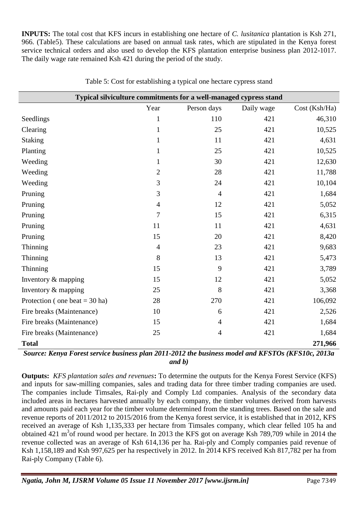**INPUTS:** The total cost that KFS incurs in establishing one hectare of *C. lusitanica* plantation is Ksh 271, 966. (Table5). These calculations are based on annual task rates, which are stipulated in the Kenya forest service technical orders and also used to develop the KFS plantation enterprise business plan 2012-1017. The daily wage rate remained Ksh 421 during the period of the study.

| Typical silviculture commitments for a well-managed cypress stand |                |                |            |              |  |  |  |  |  |
|-------------------------------------------------------------------|----------------|----------------|------------|--------------|--|--|--|--|--|
|                                                                   | Year           | Person days    | Daily wage | Cost(Ksh/Ha) |  |  |  |  |  |
| Seedlings                                                         | $\mathbf{1}$   | 110            | 421        | 46,310       |  |  |  |  |  |
| Clearing                                                          | $\mathbf{1}$   | 25             | 421        | 10,525       |  |  |  |  |  |
| <b>Staking</b>                                                    | $\mathbf{1}$   | 11             | 421        | 4,631        |  |  |  |  |  |
| Planting                                                          | $\mathbf{1}$   | 25             | 421        | 10,525       |  |  |  |  |  |
| Weeding                                                           | $\mathbf{1}$   | 30             | 421        | 12,630       |  |  |  |  |  |
| Weeding                                                           | $\mathbf{2}$   | 28             | 421        | 11,788       |  |  |  |  |  |
| Weeding                                                           | 3              | 24             | 421        | 10,104       |  |  |  |  |  |
| Pruning                                                           | 3              | $\overline{4}$ | 421        | 1,684        |  |  |  |  |  |
| Pruning                                                           | $\overline{4}$ | 12             | 421        | 5,052        |  |  |  |  |  |
| Pruning                                                           | 7              | 15             | 421        | 6,315        |  |  |  |  |  |
| Pruning                                                           | 11             | 11             | 421        | 4,631        |  |  |  |  |  |
| Pruning                                                           | 15             | 20             | 421        | 8,420        |  |  |  |  |  |
| Thinning                                                          | $\overline{4}$ | 23             | 421        | 9,683        |  |  |  |  |  |
| Thinning                                                          | 8              | 13             | 421        | 5,473        |  |  |  |  |  |
| Thinning                                                          | 15             | 9              | 421        | 3,789        |  |  |  |  |  |
| Inventory & mapping                                               | 15             | 12             | 421        | 5,052        |  |  |  |  |  |
| Inventory & mapping                                               | 25             | 8              | 421        | 3,368        |  |  |  |  |  |
| Protection (one beat = $30$ ha)                                   | 28             | 270            | 421        | 106,092      |  |  |  |  |  |
| Fire breaks (Maintenance)                                         | 10             | 6              | 421        | 2,526        |  |  |  |  |  |
| Fire breaks (Maintenance)                                         | 15             | $\overline{4}$ | 421        | 1,684        |  |  |  |  |  |
| Fire breaks (Maintenance)                                         | 25             | $\overline{4}$ | 421        | 1,684        |  |  |  |  |  |
| <b>Total</b>                                                      |                |                |            | 271,966      |  |  |  |  |  |

Table 5: Cost for establishing a typical one hectare cypress stand

*Source: Kenya Forest service business plan 2011-2012 the business model and KFSTOs (KFS10c, 2013a and b)*

**Outputs:** *KFS plantation sales and revenues***:** To determine the outputs for the Kenya Forest Service (KFS) and inputs for saw-milling companies, sales and trading data for three timber trading companies are used. The companies include Timsales, Rai-ply and Comply Ltd companies. Analysis of the secondary data included areas in hectares harvested annually by each company, the timber volumes derived from harvests and amounts paid each year for the timber volume determined from the standing trees. Based on the sale and revenue reports of 2011/2012 to 2015/2016 from the Kenya forest service, it is established that in 2012, KFS received an average of Ksh 1,135,333 per hectare from Timsales company, which clear felled 105 ha and obtained 421 m 3 of round wood per hectare. In 2013 the KFS got on average Ksh 789,709 while in 2014 the revenue collected was an average of Ksh 614,136 per ha. Rai-ply and Comply companies paid revenue of Ksh 1,158,189 and Ksh 997,625 per ha respectively in 2012. In 2014 KFS received Ksh 817,782 per ha from Rai-ply Company (Table 6).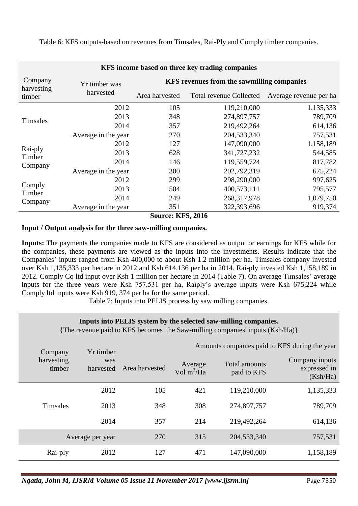**KFS income based on three key trading companies** Company harvesting timber Yr timber was harvested **KFS revenues from the sawmilling companies** Area harvested Total revenue Collected Average revenue per ha Timsales 2012 105 119,210,000 1,135,333 2013 348 274,897,757 789,709 2014 357 219,492,264 614,136 Average in the year 270 204,533,340 757,531 Rai-ply Timber Company 2012 127 147,090,000 1,158,189 2013 628 341,727,232 544,585 2014 146 119,559,724 817,782 Average in the year 300 202,792,319 675,224 Comply Timber Company 2012 299 298,290,000 997,625 2013 504 400,573,111 795,577 2014 249 268,317,978 1,079,750 Average in the year 351 322,393,696 919,374

Table 6: KFS outputs-based on revenues from Timsales, Rai-Ply and Comply timber companies.

#### **Source: KFS, 2016**

#### **Input / Output analysis for the three saw-milling companies.**

**Inputs:** The payments the companies made to KFS are considered as output or earnings for KFS while for the companies, these payments are viewed as the inputs into the investments. Results indicate that the Companies' inputs ranged from Ksh 400,000 to about Ksh 1.2 million per ha. Timsales company invested over Ksh 1,135,333 per hectare in 2012 and Ksh 614,136 per ha in 2014. Rai-ply invested Ksh 1,158,189 in 2012. Comply Co ltd input over Ksh 1 million per hectare in 2014 (Table 7). On average Timsales' average inputs for the three years were Ksh 757,531 per ha, Raiply's average inputs were Ksh 675,224 while Comply ltd inputs were Ksh 919, 374 per ha for the same period.

Table 7: Inputs into PELIS process by saw milling companies.

#### **Inputs into PELIS system by the selected saw-milling companies.**

{The revenue paid to KFS becomes the Saw-milling companies' inputs (Ksh/Ha)}

| Company              | Yr timber        |                | Amounts companies paid to KFS during the year |                              |                                            |
|----------------------|------------------|----------------|-----------------------------------------------|------------------------------|--------------------------------------------|
| harvesting<br>timber | was<br>harvested | Area harvested | Average<br>Vol $m^3$ /Ha                      | Total amounts<br>paid to KFS | Company inputs<br>expressed in<br>(Ksh/Ha) |
|                      | 2012             | 105            | 421                                           | 119,210,000                  | 1,135,333                                  |
| <b>Timsales</b>      | 2013             | 348            | 308                                           | 274,897,757                  | 789,709                                    |
|                      | 2014             | 357            | 214                                           | 219,492,264                  | 614,136                                    |
|                      | Average per year | 270            | 315                                           | 204, 533, 340                | 757,531                                    |
| Rai-ply              | 2012             | 127            | 471                                           | 147,090,000                  | 1,158,189                                  |

*Ngatia, John M, IJSRM Volume 05 Issue 11 November 2017 [www.ijsrm.in]* Page 7350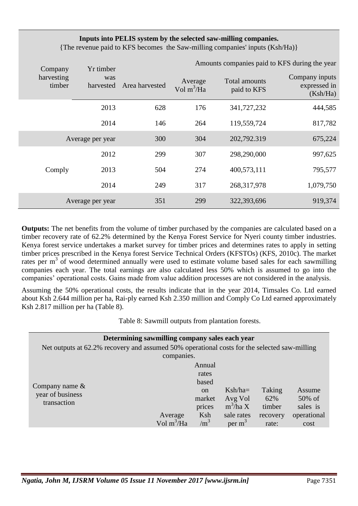## **Inputs into PELIS system by the selected saw-milling companies.**

{The revenue paid to KFS becomes the Saw-milling companies' inputs (Ksh/Ha)}

| Company              | Yr timber        |                | Amounts companies paid to KFS during the year |                              |                                            |  |  |  |
|----------------------|------------------|----------------|-----------------------------------------------|------------------------------|--------------------------------------------|--|--|--|
| harvesting<br>timber | was<br>harvested | Area harvested | Average<br>Vol $m^3$ /Ha                      | Total amounts<br>paid to KFS | Company inputs<br>expressed in<br>(Ksh/Ha) |  |  |  |
|                      | 2013             | 628            | 176                                           | 341,727,232                  | 444,585                                    |  |  |  |
|                      | 2014             |                | 264                                           | 119,559,724                  | 817,782                                    |  |  |  |
| Average per year     |                  | 300            | 304                                           | 202,792.319                  | 675,224                                    |  |  |  |
|                      | 2012             | 299            | 307                                           | 298,290,000                  | 997,625                                    |  |  |  |
| Comply               | 2013             | 504            | 274                                           | 400,573,111                  | 795,577                                    |  |  |  |
|                      | 2014             | 249            | 317                                           | 268, 317, 978                | 1,079,750                                  |  |  |  |
|                      | Average per year | 351            | 299                                           | 322,393,696                  | 919,374                                    |  |  |  |

**Outputs:** The net benefits from the volume of timber purchased by the companies are calculated based on a timber recovery rate of 62.2% determined by the Kenya Forest Service for Nyeri county timber industries. Kenya forest service undertakes a market survey for timber prices and determines rates to apply in setting timber prices prescribed in the Kenya forest Service Technical Orders (KFSTOs) (KFS, 2010c). The market rates per m<sup>3</sup> of wood determined annually were used to estimate volume based sales for each sawmilling companies each year. The total earnings are also calculated less 50% which is assumed to go into the companies' operational costs. Gains made from value addition processes are not considered in the analysis.

Assuming the 50% operational costs, the results indicate that in the year 2014, Timsales Co. Ltd earned about Ksh 2.644 million per ha, Rai-ply earned Ksh 2.350 million and Comply Co Ltd earned approximately Ksh 2.817 million per ha (Table 8).

Table 8: Sawmill outputs from plantation forests.

| Determining sawmilling company sales each year                                               |                        |               |             |          |             |  |  |  |  |  |  |  |
|----------------------------------------------------------------------------------------------|------------------------|---------------|-------------|----------|-------------|--|--|--|--|--|--|--|
| Net outputs at 62.2% recovery and assumed 50% operational costs for the selected saw-milling |                        |               |             |          |             |  |  |  |  |  |  |  |
| companies.                                                                                   |                        |               |             |          |             |  |  |  |  |  |  |  |
|                                                                                              |                        | Annual        |             |          |             |  |  |  |  |  |  |  |
|                                                                                              |                        |               |             |          |             |  |  |  |  |  |  |  |
| Company name $\&$                                                                            |                        | based         |             |          |             |  |  |  |  |  |  |  |
| year of business                                                                             |                        | <sub>on</sub> | $Ksh/ha=$   | Taking   | Assume      |  |  |  |  |  |  |  |
| transaction                                                                                  |                        | market        | Avg Vol     | 62%      | 50% of      |  |  |  |  |  |  |  |
|                                                                                              |                        | prices        | $m^3$ /ha X | timber   | sales is    |  |  |  |  |  |  |  |
|                                                                                              | Average                | Ksh           | sale rates  | recovery | operational |  |  |  |  |  |  |  |
|                                                                                              | Vol m <sup>3</sup> /Ha | $\text{m}^3$  | per $m3$    | rate:    | cost        |  |  |  |  |  |  |  |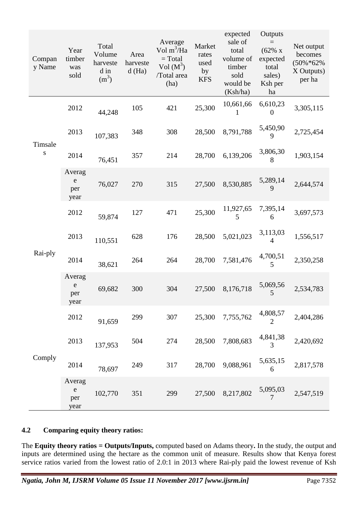| Compan<br>y Name     | Year<br>timber<br>was<br>sold      | Total<br>Volume<br>harveste<br>d in<br>$(m^3)$ | Area<br>harveste<br>d(Ha) | Average<br>Vol $m^3$ /Ha<br>$= Total$<br>$Vol(M^3)$<br>/Total area<br>(ha) | Market<br>rates<br>used<br>by<br><b>KFS</b> | expected<br>sale of<br>total<br>volume of<br>timber<br>sold<br>would be<br>(Ksh/ha) | Outputs<br>$=$<br>(62% x)<br>expected<br>total<br>sales)<br>Ksh per<br>ha | Net output<br>becomes<br>$(50\% * 62\%)$<br>X Outputs)<br>per ha |
|----------------------|------------------------------------|------------------------------------------------|---------------------------|----------------------------------------------------------------------------|---------------------------------------------|-------------------------------------------------------------------------------------|---------------------------------------------------------------------------|------------------------------------------------------------------|
|                      | 2012                               | 44,248                                         | 105                       | 421                                                                        | 25,300                                      | 10,661,66<br>L                                                                      | 6,610,23<br>$\Omega$                                                      | 3,305,115                                                        |
|                      | 2013                               | 107,383                                        | 348                       | 308                                                                        | 28,500                                      | 8,791,788                                                                           | 5,450,90<br>9                                                             | 2,725,454                                                        |
| Timsale<br>${\bf S}$ | 2014                               | 76,451                                         | 357                       | 214                                                                        | 28,700                                      | 6,139,206                                                                           | 3,806,30<br>8                                                             | 1,903,154                                                        |
|                      | Averag<br>${\bf e}$<br>per<br>year | 76,027                                         | 270                       | 315                                                                        | 27,500                                      | 8,530,885                                                                           | 5,289,14<br>9                                                             | 2,644,574                                                        |
| Rai-ply              | 2012                               | 59,874                                         | 127                       | 471                                                                        | 25,300                                      | 11,927,65<br>5                                                                      | 7,395,14<br>6                                                             | 3,697,573                                                        |
|                      | 2013                               | 110,551                                        | 628                       | 176                                                                        | 28,500                                      | 5,021,023                                                                           | 3,113,03<br>4                                                             | 1,556,517                                                        |
|                      | 2014                               | 38,621                                         | 264                       | 264                                                                        | 28,700                                      | 7,581,476                                                                           | 4,700,51<br>5                                                             | 2,350,258                                                        |
|                      | Averag<br>${\rm e}$<br>per<br>year | 69,682                                         | 300                       | 304                                                                        | 27,500                                      | 8,176,718                                                                           | 5,069,56<br>5                                                             | 2,534,783                                                        |
|                      | 2012                               | 91,659                                         | 299                       | 307                                                                        | 25,300                                      | 7,755,762                                                                           | 4,808,57<br>$\overline{2}$                                                | 2,404,286                                                        |
|                      | 2013                               | 137,953                                        | 504                       | 274                                                                        | 28,500                                      | 7,808,683                                                                           | 4,841,38<br>3                                                             | 2,420,692                                                        |
| Comply               | 2014                               | 78,697                                         | 249                       | 317                                                                        | 28,700                                      | 9,088,961                                                                           | 5,635,15<br>6                                                             | 2,817,578                                                        |
|                      | Averag<br>${\rm e}$<br>per<br>year | 102,770                                        | 351                       | 299                                                                        | 27,500                                      | 8,217,802                                                                           | 5,095,03<br>7                                                             | 2,547,519                                                        |

## **4.2 Comparing equity theory ratios:**

The **Equity theory ratios = Outputs/Inputs,** computed based on Adams theory**.** In the study, the output and inputs are determined using the hectare as the common unit of measure. Results show that Kenya forest service ratios varied from the lowest ratio of 2.0:1 in 2013 where Rai-ply paid the lowest revenue of Ksh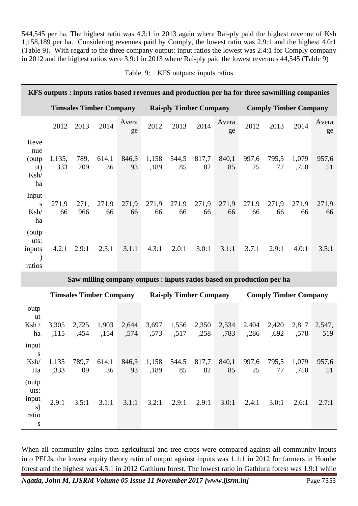544,545 per ha. The highest ratio was 4.3:1 in 2013 again where Rai-ply paid the highest revenue of Ksh 1,158,189 per ha. Considering revenues paid by Comply, the lowest ratio was 2.9:1 and the highest 4.0:1 (Table 9). With regard to the three company output: input ratios the lowest was 2.4:1 for Comply company in 2012 and the highest ratios were 3.9:1 in 2013 where Rai-ply paid the lowest revenues 44,545 (Table 9)

| Table 9:<br>KFS outputs: inputs ratios |  |
|----------------------------------------|--|
|----------------------------------------|--|

|                                            | KFS outputs : inputs ratios based revenues and production per ha for three sawmilling companies |             |                                |             |                               |             |             |             |                              |             |               |             |
|--------------------------------------------|-------------------------------------------------------------------------------------------------|-------------|--------------------------------|-------------|-------------------------------|-------------|-------------|-------------|------------------------------|-------------|---------------|-------------|
|                                            |                                                                                                 |             | <b>Timsales Timber Company</b> |             | <b>Rai-ply Timber Company</b> |             |             |             | <b>Comply Timber Company</b> |             |               |             |
|                                            | 2012                                                                                            | 2013        | 2014                           | Avera<br>ge | 2012                          | 2013        | 2014        | Avera<br>ge | 2012                         | 2013        | 2014          | Avera<br>ge |
| Reve<br>nue<br>(outp)<br>ut)<br>Ksh/<br>ha | 1,135,<br>333                                                                                   | 789,<br>709 | 614,1<br>36                    | 846,3<br>93 | 1,158<br>,189                 | 544,5<br>85 | 817,7<br>82 | 840,1<br>85 | 997,6<br>25                  | 795,5<br>77 | 1,079<br>,750 | 957,6<br>51 |
| Input<br>S<br>Ksh/<br>ha                   | 271,9<br>66                                                                                     | 271,<br>966 | 271,9<br>66                    | 271,9<br>66 | 271,9<br>66                   | 271,9<br>66 | 271,9<br>66 | 271,9<br>66 | 271,9<br>66                  | 271,9<br>66 | 271,9<br>66   | 271,9<br>66 |
| (outp)<br>uts:<br>inputs<br>ratios         | 4.2:1                                                                                           | 2.9:1       | 2.3:1                          | 3.1:1       | 4.3:1                         | 2.0:1       | 3.0:1       | 3.1:1       | 3.7:1                        | 2.9:1       | 4.0:1         | 3.5:1       |

**Saw milling company outputs : inputs ratios based on production per ha**

|                                             | <b>Timsales Timber Company</b> |               |               |               | <b>Rai-ply Timber Company</b> |               |               |               | <b>Comply Timber Company</b> |               |               |               |
|---------------------------------------------|--------------------------------|---------------|---------------|---------------|-------------------------------|---------------|---------------|---------------|------------------------------|---------------|---------------|---------------|
| outp<br>ut<br>Ksh/<br>ha                    | 3,305<br>,115                  | 2,725<br>,454 | 1,903<br>,154 | 2,644<br>,574 | 3,697<br>,573                 | 1,556<br>,517 | 2,350<br>,258 | 2,534<br>,783 | 2,404<br>,286                | 2,420<br>,692 | 2,817<br>,578 | 2,547,<br>519 |
| input<br>S<br>Ksh/<br>Ha                    | 1,135<br>,333                  | 789,7<br>09   | 614,1<br>36   | 846,3<br>93   | 1,158<br>,189                 | 544,5<br>85   | 817,7<br>82   | 840,1<br>85   | 997,6<br>25                  | 795,5<br>77   | 1,079<br>,750 | 957,6<br>51   |
| (outp)<br>uts:<br>input<br>S)<br>ratio<br>S | 2.9:1                          | 3.5:1         | 3.1:1         | 3.1:1         | 3.2:1                         | 2.9:1         | 2.9:1         | 3.0:1         | 2.4:1                        | 3.0:1         | 2.6:1         | 2.7:1         |

When all community gains from agricultural and tree crops were compared against all community inputs into PELIs, the lowest equity theory ratio of output against inputs was 1.1:1 in 2012 for farmers in Hombe forest and the highest was 4.5:1 in 2012 Gathiuru forest. The lowest ratio in Gathiuru forest was 1.9:1 while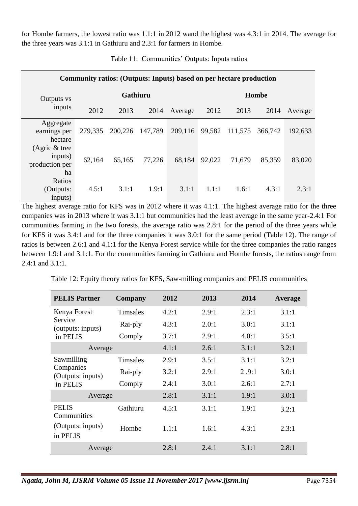for Hombe farmers, the lowest ratio was 1.1:1 in 2012 wand the highest was 4.3:1 in 2014. The average for the three years was 3.1:1 in Gathiuru and 2.3:1 for farmers in Hombe.

| Community ratios: (Outputs: Inputs) based on per hectare production |         |          |         |         |              |         |         |         |  |  |  |  |
|---------------------------------------------------------------------|---------|----------|---------|---------|--------------|---------|---------|---------|--|--|--|--|
| Outputs vs                                                          |         | Gathiuru |         |         | <b>Hombe</b> |         |         |         |  |  |  |  |
| inputs                                                              | 2012    | 2013     | 2014    | Average | 2012         | 2013    | 2014    | Average |  |  |  |  |
| Aggregate<br>earnings per<br>hectare                                | 279,335 | 200,226  | 147,789 | 209,116 | 99,582       | 111,575 | 366,742 | 192,633 |  |  |  |  |
| (Agric $&$ tree<br>inputs)<br>production per<br>ha                  | 62,164  | 65,165   | 77,226  | 68,184  | 92,022       | 71,679  | 85,359  | 83,020  |  |  |  |  |
| Ratios<br>(Outputs:<br>inputs)                                      | 4.5:1   | 3.1:1    | 1.9:1   | 3.1:1   | 1.1:1        | 1.6:1   | 4.3:1   | 2.3:1   |  |  |  |  |

Table 11: Communities' Outputs: Inputs ratios

The highest average ratio for KFS was in 2012 where it was 4.1:1. The highest average ratio for the three companies was in 2013 where it was 3.1:1 but communities had the least average in the same year-2.4:1 For communities farming in the two forests, the average ratio was 2.8:1 for the period of the three years while for KFS it was 3.4:1 and for the three companies it was 3.0:1 for the same period (Table 12). The range of ratios is between 2.6:1 and 4.1:1 for the Kenya Forest service while for the three companies the ratio ranges between 1.9:1 and 3.1:1. For the communities farming in Gathiuru and Hombe forests, the ratios range from 2.4:1 and 3.1:1.

|  |  |  |  |  | Table 12: Equity theory ratios for KFS, Saw-milling companies and PELIS communities |  |  |  |
|--|--|--|--|--|-------------------------------------------------------------------------------------|--|--|--|
|--|--|--|--|--|-------------------------------------------------------------------------------------|--|--|--|

| <b>PELIS Partner</b>           | Company         | 2012  | 2013  | 2014  | Average |
|--------------------------------|-----------------|-------|-------|-------|---------|
| Kenya Forest                   | <b>Timsales</b> | 4.2:1 | 2.9:1 | 2.3:1 | 3.1:1   |
| Service<br>(outputs: inputs)   | Rai-ply         | 4.3:1 | 2.0:1 | 3.0:1 | 3.1:1   |
| in PELIS                       | Comply          | 3.7:1 | 2.9:1 | 4.0:1 | 3.5:1   |
| Average                        |                 | 4.1:1 | 2.6:1 | 3.1:1 | 3.2:1   |
| Sawmilling                     | <b>Timsales</b> | 2.9:1 | 3.5:1 | 3.1:1 | 3.2:1   |
| Companies<br>(Outputs: inputs) | Rai-ply         | 3.2:1 | 2.9:1 | 2.9:1 | 3.0:1   |
| in PELIS                       | Comply          | 2.4:1 | 3.0:1 | 2.6:1 | 2.7:1   |
| Average                        |                 | 2.8:1 | 3.1:1 | 1.9:1 | 3.0:1   |
| <b>PELIS</b><br>Communities    | Gathiuru        | 4.5:1 | 3.1:1 | 1.9:1 | 3.2:1   |
| (Outputs: inputs)<br>in PELIS  | Hombe           | 1.1:1 | 1.6:1 | 4.3:1 | 2.3:1   |
| Average                        |                 | 2.8:1 | 2.4:1 | 3.1:1 | 2.8:1   |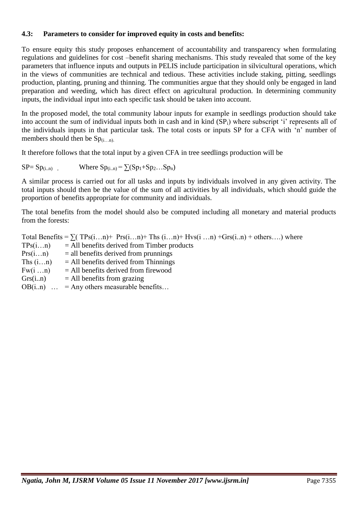#### **4.3: Parameters to consider for improved equity in costs and benefits:**

To ensure equity this study proposes enhancement of accountability and transparency when formulating regulations and guidelines for cost –benefit sharing mechanisms. This study revealed that some of the key parameters that influence inputs and outputs in PELIS include participation in silvicultural operations, which in the views of communities are technical and tedious. These activities include staking, pitting, seedlings production, planting, pruning and thinning. The communities argue that they should only be engaged in land preparation and weeding, which has direct effect on agricultural production. In determining community inputs, the individual input into each specific task should be taken into account.

In the proposed model, the total community labour inputs for example in seedlings production should take into account the sum of individual inputs both in cash and in kind  $(SP_i)$  where subscript 'i' represents all of the individuals inputs in that particular task. The total costs or inputs SP for a CFA with ‗n' number of members should then be  $Sp_{(i...n)}$ .

It therefore follows that the total input by a given CFA in tree seedlings production will be

 $SP = Sp_{(i..n)}$ , Where  $Sp_{(i..n)} = \sum (Sp_1 + Sp_2...Sp_n)$ 

A similar process is carried out for all tasks and inputs by individuals involved in any given activity. The total inputs should then be the value of the sum of all activities by all individuals, which should guide the proportion of benefits appropriate for community and individuals.

The total benefits from the model should also be computed including all monetary and material products from the forests:

Total Benefits =  $\sum$ ( TPs(i, n)+ Prs(i, n)+ Ths (i, n)+ Hvs(i, n) + Grs(i, n) + others...) where  $TPs(i...n)$  = All benefits derived from Timber products  $Prs(i...n)$  = all benefits derived from prunnings Ths  $(i...n)$  = All benefits derived from Thinnings  $Fw(i...n)$  = All benefits derived from firewood  $Grs(i..n)$  = All benefits from grazing  $OB(i..n)$   $\ldots$  = Any others measurable benefits...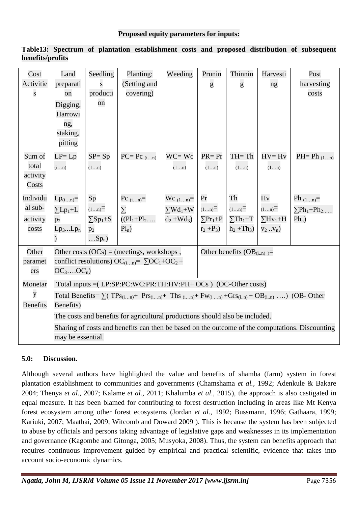| Cost<br>Activitie<br>${\bf S}$           | Land<br>preparati<br>on<br>Digging,<br>Harrowi<br>ng,<br>staking,<br>pitting                                                                                                                                                                                                                                                                                                                                                                                   | Seedling<br>S<br>producti<br>on                                  | Planting:<br>(Setting and<br>covering)               | Weeding                                                 | Prunin<br>g                               | Thinnin<br>g                                        | Harvesti<br>ng                                       | Post<br>harvesting<br>costs                                            |  |  |
|------------------------------------------|----------------------------------------------------------------------------------------------------------------------------------------------------------------------------------------------------------------------------------------------------------------------------------------------------------------------------------------------------------------------------------------------------------------------------------------------------------------|------------------------------------------------------------------|------------------------------------------------------|---------------------------------------------------------|-------------------------------------------|-----------------------------------------------------|------------------------------------------------------|------------------------------------------------------------------------|--|--|
| Sum of<br>total<br>activity<br>Costs     | $LP = Lp$<br>(in)                                                                                                                                                                                                                                                                                                                                                                                                                                              | $SP = Sp$<br>(1n)                                                | $PC=$ $Pc_{(in)}$                                    | $WC = Wc$<br>(1n)                                       | $PR = Pr$<br>(1n)                         | $TH = Th$<br>(1n)                                   | $HV=Hv$<br>(1n)                                      | $PH= Ph_{(1n)}$                                                        |  |  |
| Individu<br>al sub-<br>activity<br>costs | $Lp_{(in)}=$<br>$\Sigma L p_1 + L$<br>$p_2$<br>$Lp_3Lp_n$<br>$\mathcal{L}$                                                                                                                                                                                                                                                                                                                                                                                     | Sp<br>$(1n)$ =<br>$\Sigma$ Sp <sub>1</sub> +S<br>$p_2$<br>$Sp_n$ | Pc $_{(in)}=$<br>$\sum$<br>$((P1_1+P1_2$<br>$Pl_n$ ) | $Wc_{(1n)} =$<br>$\sum Wd_1+W$ $(1n)$ =<br>$d_2 + Wd_3$ | Pr<br>$\Sigma P r_1 + P$<br>$r_2 + P_3$ ) | Th<br>$(1n)$ =<br>$\Sigma Th_1 + T$<br>$h_2 + Th_3$ | Hv<br>$(1n)$ =<br>$\Sigma Hv_1 + H$<br>$V_2$ $V_n$ ) | Ph $_{(1n)}=$<br>$\nabla$ Ph <sub>1</sub> +Ph <sub>2</sub><br>$Ph_n$ ) |  |  |
| Other<br>paramet<br>ers                  | Other benefits $(OB_{(in)}) =$<br>Other costs $(OCs) = (meetings, workshops,$<br>conflict resolutions) OC <sub>(in)</sub> = $\sum$ OC <sub>1</sub> +OC <sub>2</sub> +<br>$OC_3$ $OC_n$                                                                                                                                                                                                                                                                         |                                                                  |                                                      |                                                         |                                           |                                                     |                                                      |                                                                        |  |  |
| Monetar<br>y<br><b>Benefits</b>          | Total inputs = (LP:SP:PC:WC:PR:TH:HV:PH+ OCs) (OC-Other costs)<br>Total Benefits= $\sum$ ( TPs <sub>(in)</sub> + Prs <sub>(in)</sub> + Ths <sub>(in)</sub> + Fw <sub>(in)</sub> + Grs <sub>(i.n)</sub> + OB <sub>(i.n)</sub> ) (OB- Other<br>Benefits)<br>The costs and benefits for agricultural productions should also be included.<br>Sharing of costs and benefits can then be based on the outcome of the computations. Discounting<br>may be essential. |                                                                  |                                                      |                                                         |                                           |                                                     |                                                      |                                                                        |  |  |

**Table13: Spectrum of plantation establishment costs and proposed distribution of subsequent benefits/profits** 

## **5.0: Discussion.**

Although several authors have highlighted the value and benefits of shamba (farm) system in forest plantation establishment to communities and governments (Chamshama *et al.,* 1992; Adenkule & Bakare 2004; Thenya *et al*., 2007; Kalame *et al.,* 2011; Khalumba *et al*., 2015), the approach is also castigated in equal measure. It has been blamed for contributing to forest destruction including in areas like Mt Kenya forest ecosystem among other forest ecosystems (Jordan *et al.,* 1992; Bussmann, 1996; Gathaara, 1999; Kariuki, 2007; Maathai, 2009; Witcomb and Doward 2009 ). This is because the system has been subjected to abuse by officials and persons taking advantage of legislative gaps and weaknesses in its implementation and governance (Kagombe and Gitonga, 2005; Musyoka, 2008). Thus, the system can benefits approach that requires continuous improvement guided by empirical and practical scientific, evidence that takes into account socio-economic dynamics.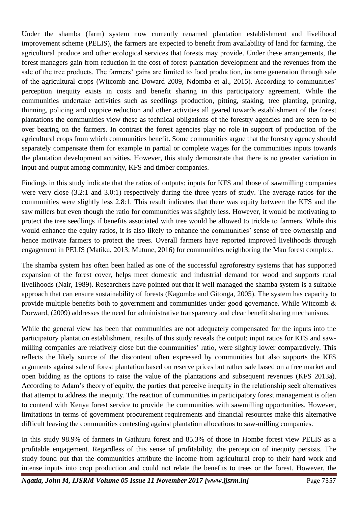Under the shamba (farm) system now currently renamed plantation establishment and livelihood improvement scheme (PELIS), the farmers are expected to benefit from availability of land for farming, the agricultural produce and other ecological services that forests may provide. Under these arrangements, the forest managers gain from reduction in the cost of forest plantation development and the revenues from the sale of the tree products. The farmers' gains are limited to food production, income generation through sale of the agricultural crops (Witcomb and Doward 2009, Ndomba et al., 2015). According to communities' perception inequity exists in costs and benefit sharing in this participatory agreement. While the communities undertake activities such as seedlings production, pitting, staking, tree planting, pruning, thinning, policing and coppice reduction and other activities all geared towards establishment of the forest plantations the communities view these as technical obligations of the forestry agencies and are seen to be over bearing on the farmers. In contrast the forest agencies play no role in support of production of the agricultural crops from which communities benefit. Some communities argue that the forestry agency should separately compensate them for example in partial or complete wages for the communities inputs towards the plantation development activities. However, this study demonstrate that there is no greater variation in input and output among community, KFS and timber companies.

Findings in this study indicate that the ratios of outputs: inputs for KFS and those of sawmilling companies were very close (3.2:1 and 3.0:1) respectively during the three years of study. The average ratios for the communities were slightly less 2.8:1. This result indicates that there was equity between the KFS and the saw millers but even though the ratio for communities was slightly less. However, it would be motivating to protect the tree seedlings if benefits associated with tree would be allowed to trickle to farmers. While this would enhance the equity ratios, it is also likely to enhance the communities' sense of tree ownership and hence motivate farmers to protect the trees. Overall farmers have reported improved livelihoods through engagement in PELIS (Matiku, 2013; Mutune, 2016) for communities neighboring the Mau forest complex.

The shamba system has often been hailed as one of the successful agroforestry systems that has supported expansion of the forest cover, helps meet domestic and industrial demand for wood and supports rural livelihoods (Nair, 1989). Researchers have pointed out that if well managed the shamba system is a suitable approach that can ensure sustainability of forests (Kagombe and Gitonga, 2005). The system has capacity to provide multiple benefits both to government and communities under good governance. While Witcomb & Dorward, (2009) addresses the need for administrative transparency and clear benefit sharing mechanisms.

While the general view has been that communities are not adequately compensated for the inputs into the participatory plantation establishment, results of this study reveals the output: input ratios for KFS and sawmilling companies are relatively close but the communities' ratio, were slightly lower comparatively. This reflects the likely source of the discontent often expressed by communities but also supports the KFS arguments against sale of forest plantation based on reserve prices but rather sale based on a free market and open bidding as the options to raise the value of the plantations and subsequent revenues (KFS 2013a). According to Adam's theory of equity, the parties that perceive inequity in the relationship seek alternatives that attempt to address the inequity. The reaction of communities in participatory forest management is often to contend with Kenya forest service to provide the communities with sawmilling opportunities. However, limitations in terms of government procurement requirements and financial resources make this alternative difficult leaving the communities contesting against plantation allocations to saw-milling companies.

In this study 98.9% of farmers in Gathiuru forest and 85.3% of those in Hombe forest view PELIS as a profitable engagement. Regardless of this sense of profitability, the perception of inequity persists. The study found out that the communities attribute the income from agricultural crop to their hard work and intense inputs into crop production and could not relate the benefits to trees or the forest. However, the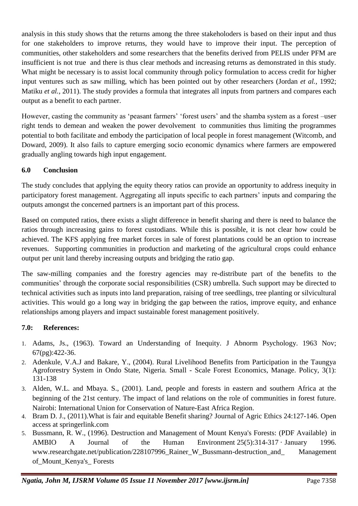analysis in this study shows that the returns among the three stakeholoders is based on their input and thus for one stakeholders to improve returns, they would have to improve their input. The perception of communities, other stakeholders and some researchers that the benefits derived from PELIS under PFM are insufficient is not true and there is thus clear methods and increasing returns as demonstrated in this study. What might be necessary is to assist local community through policy formulation to access credit for higher input ventures such as saw milling, which has been pointed out by other researchers (Jordan *et al.,* 1992; Matiku *et al.,* 2011). The study provides a formula that integrates all inputs from partners and compares each output as a benefit to each partner.

However, casting the community as 'peasant farmers' 'forest users' and the shamba system as a forest –user right tends to demean and weaken the power devolvement to communities thus limiting the programmes potential to both facilitate and embody the participation of local people in forest management (Witcomb, and Doward, 2009). It also fails to capture emerging socio economic dynamics where farmers are empowered gradually angling towards high input engagement.

## **6.0 Conclusion**

The study concludes that applying the equity theory ratios can provide an opportunity to address inequity in participatory forest management. Aggregating all inputs specific to each partners' inputs and comparing the outputs amongst the concerned partners is an important part of this process.

Based on computed ratios, there exists a slight difference in benefit sharing and there is need to balance the ratios through increasing gains to forest custodians. While this is possible, it is not clear how could be achieved. The KFS applying free market forces in sale of forest plantations could be an option to increase revenues. Supporting communities in production and marketing of the agricultural crops could enhance output per unit land thereby increasing outputs and bridging the ratio gap.

The saw-milling companies and the forestry agencies may re-distribute part of the benefits to the communities' through the corporate social responsibilities (CSR) umbrella. Such support may be directed to technical activities such as inputs into land preparation, raising of tree seedlings, tree planting or silvicultural activities. This would go a long way in bridging the gap between the ratios, improve equity, and enhance relationships among players and impact sustainable forest management positively.

## **7.0: References:**

- 1. Adams, Js., (1963). Toward an Understanding of Inequity. J Abnorm Psychology. 1963 Nov; 67(pg):422-36.
- 2. Adenkule, V.A.J and Bakare, Y., (2004). Rural Livelihood Benefits from Participation in the Taungya Agroforestry System in Ondo State, Nigeria. Small - Scale Forest Economics, Manage. Policy, 3(1): 131-138
- 3. Alden, W.L. and Mbaya. S., (2001). Land, people and forests in eastern and southern Africa at the beginning of the 21st century. The impact of land relations on the role of communities in forest future. Nairobi: International Union for Conservation of Nature-East Africa Region.
- 4. Bram D. J., (2011).What is fair and equitable Benefit sharing? Journal of Agric Ethics 24:127-146. Open access at springerlink.com
- 5. Bussmann, R. W., (1996). Destruction and Management of Mount Kenya's Forests: (PDF Available) in [AMBIO A Journal of the Human Environment](https://www.researchgate.net/journal/0044-7447_AMBIO_A_Journal_of_the_Human_Environment) 25(5):314-317 · January 1996. www.researchgate.net/publication/228107996 Rainer W Bussmann-destruction and Management [of\\_Mount\\_Kenya's\\_ Forests](http://www.researchgate.net/publication/228107996_Rainer_W_Bussmann-destruction_and_%20Management%20of_Mount_Kenya)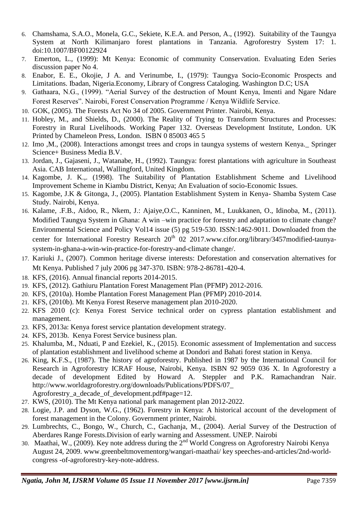- 6. Chamshama, S.A.O., Monela, G.C., Sekiete, K.E.A. and Person, A., (1992). Suitability of the Taungya System at North Kilimanjaro forest plantations in Tanzania. Agroforestry System 17: 1. doi:10.1007/BF00122924
- 7. Emerton, L., (1999): Mt Kenya: Economic of community Conservation. Evaluating Eden Series discussion paper No 4.
- 8. Enabor, E. E., Okojie, J A. and Verinumbe, I., (1979): Taungya Socio-Economic Prospects and Limitations. Ibadan, Nigeria.Economy, Library of Congress Cataloging. Washington D.C; USA
- 9. Gathaara, N.G., (1999). "Aerial Survey of the destruction of Mount Kenya, Imenti and Ngare Ndare Forest Reserves". Nairobi, Forest Conservation Programme / Kenya Wildlife Service.
- 10. GOK, (2005). The Forests Act No 34 of 2005. Government Printer. Nairobi, Kenya.
- 11. Hobley, M., and Shields, D., (2000). The Reality of Trying to Transform Structures and Processes: Forestry in Rural Livelihoods. Working Paper 132. Overseas Development Institute, London. UK Printed by Chameleon Press, London. ISBN 0 85003 465 5
- 12. Imo ,M., (2008). Interactions amongst trees and crops in taungya systems of western Kenya.\_ Springer Science+ Business Media B.V.
- 13. Jordan, J., Gajaseni, J., Watanabe, H., (1992). Taungya: forest plantations with agriculture in Southeast Asia. CAB International, Wallingford, United Kingdom.
- 14. Kagombe, J. K.,. (1998). The Suitability of Plantation Establishment Scheme and Livelihood Improvement Scheme in Kiambu District, Kenya; An Evaluation of socio-Economic Issues.
- 15. Kagombe, J.K & Gitonga, J., (2005). Plantation Establishment System in Kenya- Shamba System Case Study. Nairobi, Kenya.
- 16. Kalame, .F.B., Aidoo, R., Nkem, J.: Ajaiye,O.C., Kanninen, M., Luukkanen, O., Idinoba, M., (2011). Modified Taungya System in Ghana: A win –win practice for forestry and adaptation to climate change? Environmental Science and Policy Vol14 issue (5) pg 519-530. ISSN:1462-9011. Downloaded from the center for International Forestry Research 20<sup>th</sup> 02 2017[.www.cifor.org/library/3457modified-taunya](http://www.cifor.org/library/3457modified-taunya-system-in-ghana-a-win-win-practice-for-forestry-and-climate%20change/)[system-in-ghana-a-win-win-practice-for-forestry-and-climate change/.](http://www.cifor.org/library/3457modified-taunya-system-in-ghana-a-win-win-practice-for-forestry-and-climate%20change/)
- 17. Kariuki J., (2007). Common heritage diverse interests: Deforestation and conservation alternatives for Mt Kenya. Published 7 july 2006 pg 347-370. ISBN: 978-2-86781-420-4.
- 18. KFS, (2016). Annual financial reports 2014-2015.
- 19. KFS, (2012). Gathiuru Plantation Forest Management Plan (PFMP) 2012-2016.
- 20. KFS, (2010a). Hombe Plantation Forest Management Plan (PFMP) 2010-2014.
- 21. KFS, (2010b). Mt Kenya Forest Reserve management plan 2010-2020.
- 22. KFS 2010 (c): Kenya Forest Service technical order on cypress plantation establishment and management.
- 23. KFS, 2013a: Kenya forest service plantation development strategy.
- 24. KFS, 2013b. Kenya Forest Service business plan.
- 25. Khalumba, M., Nduati, P and Ezekiel, K., (2015). Economic assessment of Implementation and success of plantation establishment and livelihood scheme at Dondori and Bahati forest station in Kenya.
- 26. King, K.F.S., (1987). The history of agroforestry. Published in 1987 by the International Council for Research in Agroforestry ICRAF House, Nairobi, Kenya. ISBN 92 9059 036 X. In Agroforestry a decade of development Edited by Howard A. Steppler and P.K. Ramachandran Nair. [http://www.worldagroforestry.org/downloads/Publications/PDFS/07\\_](http://www.worldagroforestry.org/downloads/Publications/PDFS/07_%20Agroforestry_a_decade_of_development.pdf#page=12)  [Agroforestry\\_a\\_decade\\_of\\_development.pdf#page=12.](http://www.worldagroforestry.org/downloads/Publications/PDFS/07_%20Agroforestry_a_decade_of_development.pdf#page=12)
- 27. KWS, (2010). The Mt Kenya national park management plan 2012-2022.
- 28. Logie, J.P. and Dyson, W.G., (1962). Forestry in Kenya: A historical account of the development of forest management in the Colony. Government printer, Nairobi.
- 29. Lumbrechts, C., Bongo, W., Church, C., Gachanja, M., (2004). Aerial Survey of the Destruction of Aberdares Range Forests.Division of early warning and Assessment. UNEP. Nairobi
- 30. Maathai, W., (2009). Key note address during the 2nd World Congress on Agroforestry Nairobi Kenya August 24, 2009. [www.greenbeltmovementorg/wangari-maathai/ key speeches-and-articles/2nd-world](http://www.greenbeltmovementorg/wangari-maathai/%20key%20speeches-and-articles/2nd-world-congress%20-of-agroforestry-key-note-address)[congress -of-agroforestry-key-note-address.](http://www.greenbeltmovementorg/wangari-maathai/%20key%20speeches-and-articles/2nd-world-congress%20-of-agroforestry-key-note-address)